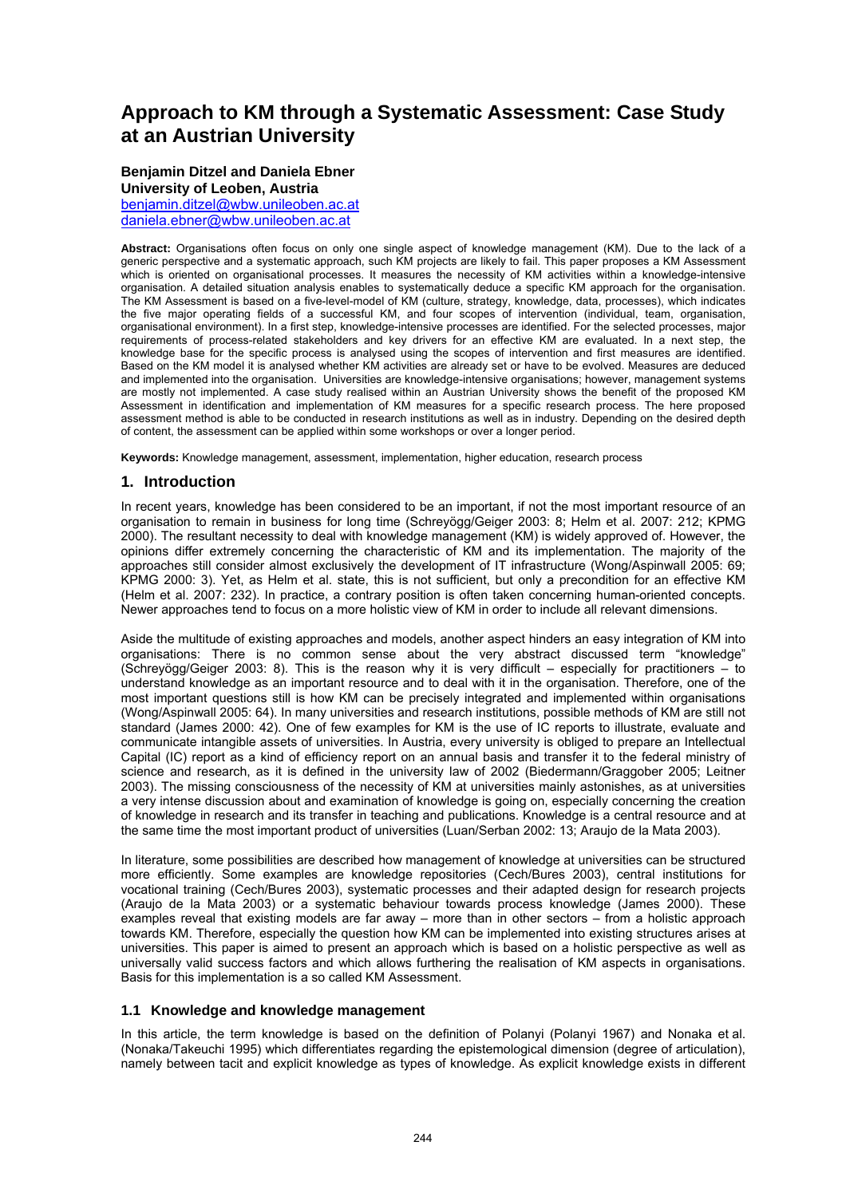# **Approach to KM through a Systematic Assessment: Case Study at an Austrian University**

#### **Benjamin Ditzel and Daniela Ebner University of Leoben, Austria**

[benjamin.ditzel@wbw.unileoben.ac.at](mailto:benjamin.ditzel@wbw.unileoben.ac.at) [daniela.ebner@wbw.unileoben.ac.at](mailto:daniela.ebner@wbw.unileoben.ac.at)

**Abstract:** Organisations often focus on only one single aspect of knowledge management (KM). Due to the lack of a generic perspective and a systematic approach, such KM projects are likely to fail. This paper proposes a KM Assessment which is oriented on organisational processes. It measures the necessity of KM activities within a knowledge-intensive organisation. A detailed situation analysis enables to systematically deduce a specific KM approach for the organisation. The KM Assessment is based on a five-level-model of KM (culture, strategy, knowledge, data, processes), which indicates the five major operating fields of a successful KM, and four scopes of intervention (individual, team, organisation, organisational environment). In a first step, knowledge-intensive processes are identified. For the selected processes, major requirements of process-related stakeholders and key drivers for an effective KM are evaluated. In a next step, the knowledge base for the specific process is analysed using the scopes of intervention and first measures are identified. Based on the KM model it is analysed whether KM activities are already set or have to be evolved. Measures are deduced and implemented into the organisation. Universities are knowledge-intensive organisations; however, management systems are mostly not implemented. A case study realised within an Austrian University shows the benefit of the proposed KM Assessment in identification and implementation of KM measures for a specific research process. The here proposed assessment method is able to be conducted in research institutions as well as in industry. Depending on the desired depth of content, the assessment can be applied within some workshops or over a longer period.

**Keywords:** Knowledge management, assessment, implementation, higher education, research process

# **1. Introduction**

In recent years, knowledge has been considered to be an important, if not the most important resource of an organisation to remain in business for long time (Schreyögg/Geiger 2003: 8; Helm et al. 2007: 212; KPMG 2000). The resultant necessity to deal with knowledge management (KM) is widely approved of. However, the opinions differ extremely concerning the characteristic of KM and its implementation. The majority of the approaches still consider almost exclusively the development of IT infrastructure (Wong/Aspinwall 2005: 69; KPMG 2000: 3). Yet, as Helm et al. state, this is not sufficient, but only a precondition for an effective KM (Helm et al. 2007: 232). In practice, a contrary position is often taken concerning human-oriented concepts. Newer approaches tend to focus on a more holistic view of KM in order to include all relevant dimensions.

Aside the multitude of existing approaches and models, another aspect hinders an easy integration of KM into organisations: There is no common sense about the very abstract discussed term "knowledge" (Schreyögg/Geiger 2003: 8). This is the reason why it is very difficult – especially for practitioners – to understand knowledge as an important resource and to deal with it in the organisation. Therefore, one of the most important questions still is how KM can be precisely integrated and implemented within organisations (Wong/Aspinwall 2005: 64). In many universities and research institutions, possible methods of KM are still not standard (James 2000: 42). One of few examples for KM is the use of IC reports to illustrate, evaluate and communicate intangible assets of universities. In Austria, every university is obliged to prepare an Intellectual Capital (IC) report as a kind of efficiency report on an annual basis and transfer it to the federal ministry of science and research, as it is defined in the university law of 2002 (Biedermann/Graggober 2005; Leitner 2003). The missing consciousness of the necessity of KM at universities mainly astonishes, as at universities a very intense discussion about and examination of knowledge is going on, especially concerning the creation of knowledge in research and its transfer in teaching and publications. Knowledge is a central resource and at the same time the most important product of universities (Luan/Serban 2002: 13; Araujo de la Mata 2003).

In literature, some possibilities are described how management of knowledge at universities can be structured more efficiently. Some examples are knowledge repositories (Cech/Bures 2003), central institutions for vocational training (Cech/Bures 2003), systematic processes and their adapted design for research projects (Araujo de la Mata 2003) or a systematic behaviour towards process knowledge (James 2000). These examples reveal that existing models are far away – more than in other sectors – from a holistic approach towards KM. Therefore, especially the question how KM can be implemented into existing structures arises at universities. This paper is aimed to present an approach which is based on a holistic perspective as well as universally valid success factors and which allows furthering the realisation of KM aspects in organisations. Basis for this implementation is a so called KM Assessment.

## **1.1 Knowledge and knowledge management**

In this article, the term knowledge is based on the definition of Polanyi (Polanyi 1967) and Nonaka et al. (Nonaka/Takeuchi 1995) which differentiates regarding the epistemological dimension (degree of articulation), namely between tacit and explicit knowledge as types of knowledge. As explicit knowledge exists in different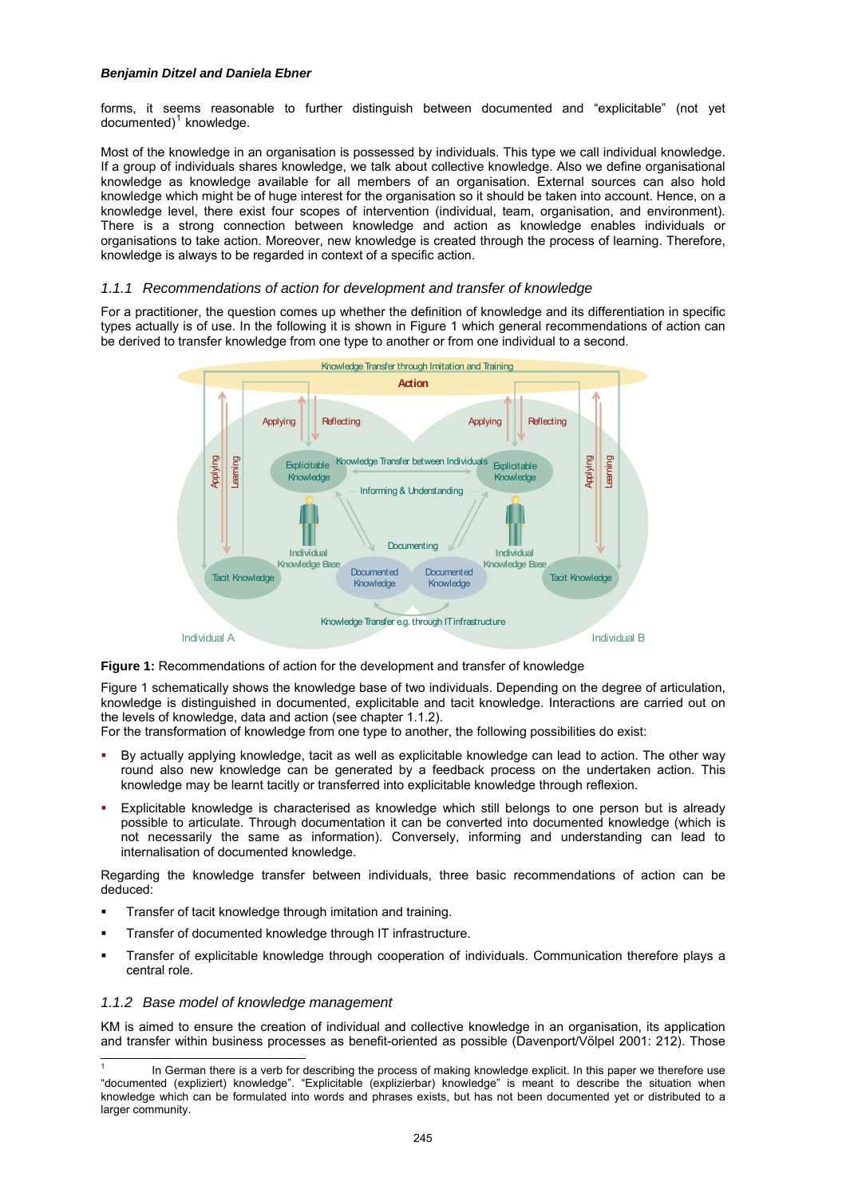forms, it seems reasonable to further distinguish between documented and "explicitable" (not yet documented)<sup>[1](#page-1-0)</sup> knowledge.

Most of the knowledge in an organisation is possessed by individuals. This type we call individual knowledge. If a group of individuals shares knowledge, we talk about collective knowledge. Also we define organisational knowledge as knowledge available for all members of an organisation. External sources can also hold knowledge which might be of huge interest for the organisation so it should be taken into account. Hence, on a knowledge level, there exist four scopes of intervention (individual, team, organisation, and environment). There is a strong connection between knowledge and action as knowledge enables individuals or organisations to take action. Moreover, new knowledge is created through the process of learning. Therefore, knowledge is always to be regarded in context of a specific action.

## *1.1.1 Recommendations of action for development and transfer of knowledge*

For a practitioner, the question comes up whether the definition of knowledge and its differentiation in specific types actually is of use. In the following it is shown in Figure 1 which general recommendations of action can be derived to transfer knowledge from one type to another or from one individual to a second.



**Figure 1:** Recommendations of action for the development and transfer of knowledge

Figure 1 schematically shows the knowledge base of two individuals. Depending on the degree of articulation, knowledge is distinguished in documented, explicitable and tacit knowledge. Interactions are carried out on the levels of knowledge, data and action (see chapter [1.1.2](#page-1-1)).

For the transformation of knowledge from one type to another, the following possibilities do exist:

- By actually applying knowledge, tacit as well as explicitable knowledge can lead to action. The other way round also new knowledge can be generated by a feedback process on the undertaken action. This knowledge may be learnt tacitly or transferred into explicitable knowledge through reflexion.
- Explicitable knowledge is characterised as knowledge which still belongs to one person but is already possible to articulate. Through documentation it can be converted into documented knowledge (which is not necessarily the same as information). Conversely, informing and understanding can lead to internalisation of documented knowledge.

Regarding the knowledge transfer between individuals, three basic recommendations of action can be deduced:

- Transfer of tacit knowledge through imitation and training.
- Transfer of documented knowledge through IT infrastructure.
- Transfer of explicitable knowledge through cooperation of individuals. Communication therefore plays a central role.

## <span id="page-1-1"></span>*1.1.2 Base model of knowledge management*

KM is aimed to ensure the creation of individual and collective knowledge in an organisation, its application and transfer within business processes as benefit-oriented as possible (Davenport/Völpel 2001: 212). Those

<span id="page-1-0"></span> $\overline{a}$ 1 In German there is a verb for describing the process of making knowledge explicit. In this paper we therefore use "documented (expliziert) knowledge". "Explicitable (explizierbar) knowledge" is meant to describe the situation when knowledge which can be formulated into words and phrases exists, but has not been documented yet or distributed to a larger community.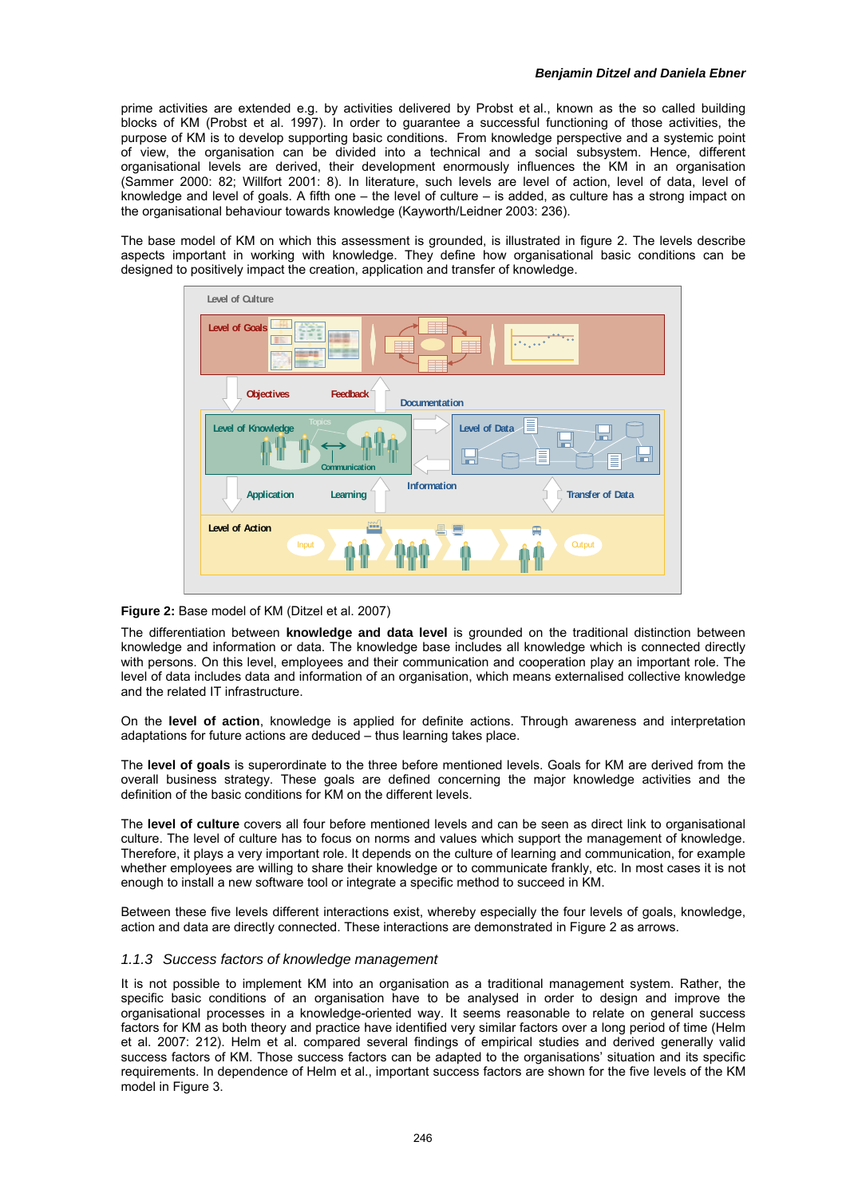prime activities are extended e.g. by activities delivered by Probst et al., known as the so called building blocks of KM (Probst et al. 1997). In order to guarantee a successful functioning of those activities, the purpose of KM is to develop supporting basic conditions. From knowledge perspective and a systemic point of view, the organisation can be divided into a technical and a social subsystem. Hence, different organisational levels are derived, their development enormously influences the KM in an organisation (Sammer 2000: 82; Willfort 2001: 8). In literature, such levels are level of action, level of data, level of knowledge and level of goals. A fifth one – the level of culture – is added, as culture has a strong impact on the organisational behaviour towards knowledge (Kayworth/Leidner 2003: 236).

The base model of KM on which this assessment is grounded, is illustrated in figure 2. The levels describe aspects important in working with knowledge. They define how organisational basic conditions can be designed to positively impact the creation, application and transfer of knowledge.



## **Figure 2:** Base model of KM (Ditzel et al. 2007)

The differentiation between **knowledge and data level** is grounded on the traditional distinction between knowledge and information or data. The knowledge base includes all knowledge which is connected directly with persons. On this level, employees and their communication and cooperation play an important role. The level of data includes data and information of an organisation, which means externalised collective knowledge and the related IT infrastructure.

On the **level of action**, knowledge is applied for definite actions. Through awareness and interpretation adaptations for future actions are deduced – thus learning takes place.

The **level of goals** is superordinate to the three before mentioned levels. Goals for KM are derived from the overall business strategy. These goals are defined concerning the major knowledge activities and the definition of the basic conditions for KM on the different levels.

The **level of culture** covers all four before mentioned levels and can be seen as direct link to organisational culture. The level of culture has to focus on norms and values which support the management of knowledge. Therefore, it plays a very important role. It depends on the culture of learning and communication, for example whether employees are willing to share their knowledge or to communicate frankly, etc. In most cases it is not enough to install a new software tool or integrate a specific method to succeed in KM.

Between these five levels different interactions exist, whereby especially the four levels of goals, knowledge, action and data are directly connected. These interactions are demonstrated in Figure 2 as arrows.

#### *1.1.3 Success factors of knowledge management*

It is not possible to implement KM into an organisation as a traditional management system. Rather, the specific basic conditions of an organisation have to be analysed in order to design and improve the organisational processes in a knowledge-oriented way. It seems reasonable to relate on general success factors for KM as both theory and practice have identified very similar factors over a long period of time (Helm et al. 2007: 212). Helm et al. compared several findings of empirical studies and derived generally valid success factors of KM. Those success factors can be adapted to the organisations' situation and its specific requirements. In dependence of Helm et al., important success factors are shown for the five levels of the KM model in Figure 3.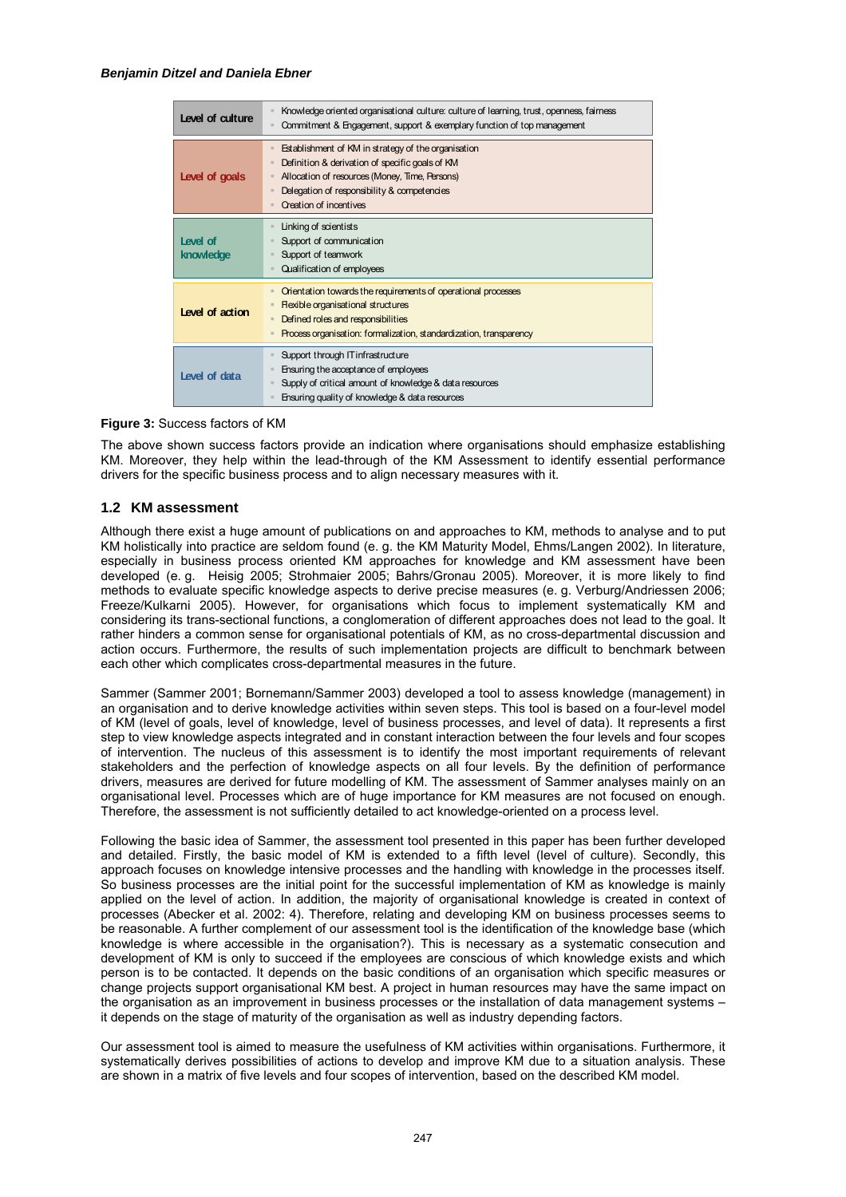| Level of culture      | Knowledge oriented organisational culture: culture of learning, trust, openness, fairness<br>Commitment & Engagement, support & exemplary function of top management                                                                     |
|-----------------------|------------------------------------------------------------------------------------------------------------------------------------------------------------------------------------------------------------------------------------------|
| Level of goals        | Establishment of KM in strategy of the organisation<br>Definition & derivation of specific goals of KM<br>Allocation of resources (Money, Time, Persons)<br>Delegation of responsibility & competencies<br><b>Creation of incentives</b> |
| Level of<br>knowledge | Linking of scientists<br>Support of communication<br>Support of teamwork<br>Qualification of employees                                                                                                                                   |
| Level of action       | Orientation towards the requirements of operational processes<br><b>Rexible organisational structures</b><br>Defined roles and responsibilities<br>Process organisation: formalization, standardization, transparency                    |
| Level of data         | Support through IT infrastructure<br>Ensuring the acceptance of employees<br>Supply of critical amount of knowledge & data resources<br>Ensuring quality of knowledge & data resources                                                   |

## **Figure 3:** Success factors of KM

The above shown success factors provide an indication where organisations should emphasize establishing KM. Moreover, they help within the lead-through of the KM Assessment to identify essential performance drivers for the specific business process and to align necessary measures with it.

## **1.2 KM assessment**

Although there exist a huge amount of publications on and approaches to KM, methods to analyse and to put KM holistically into practice are seldom found (e. g. the KM Maturity Model, Ehms/Langen 2002). In literature, especially in business process oriented KM approaches for knowledge and KM assessment have been developed (e. g. Heisig 2005; Strohmaier 2005; Bahrs/Gronau 2005). Moreover, it is more likely to find methods to evaluate specific knowledge aspects to derive precise measures (e. g. Verburg/Andriessen 2006; Freeze/Kulkarni 2005). However, for organisations which focus to implement systematically KM and considering its trans-sectional functions, a conglomeration of different approaches does not lead to the goal. It rather hinders a common sense for organisational potentials of KM, as no cross-departmental discussion and action occurs. Furthermore, the results of such implementation projects are difficult to benchmark between each other which complicates cross-departmental measures in the future.

Sammer (Sammer 2001; Bornemann/Sammer 2003) developed a tool to assess knowledge (management) in an organisation and to derive knowledge activities within seven steps. This tool is based on a four-level model of KM (level of goals, level of knowledge, level of business processes, and level of data). It represents a first step to view knowledge aspects integrated and in constant interaction between the four levels and four scopes of intervention. The nucleus of this assessment is to identify the most important requirements of relevant stakeholders and the perfection of knowledge aspects on all four levels. By the definition of performance drivers, measures are derived for future modelling of KM. The assessment of Sammer analyses mainly on an organisational level. Processes which are of huge importance for KM measures are not focused on enough. Therefore, the assessment is not sufficiently detailed to act knowledge-oriented on a process level.

Following the basic idea of Sammer, the assessment tool presented in this paper has been further developed and detailed. Firstly, the basic model of KM is extended to a fifth level (level of culture). Secondly, this approach focuses on knowledge intensive processes and the handling with knowledge in the processes itself. So business processes are the initial point for the successful implementation of KM as knowledge is mainly applied on the level of action. In addition, the majority of organisational knowledge is created in context of processes (Abecker et al. 2002: 4). Therefore, relating and developing KM on business processes seems to be reasonable. A further complement of our assessment tool is the identification of the knowledge base (which knowledge is where accessible in the organisation?). This is necessary as a systematic consecution and development of KM is only to succeed if the employees are conscious of which knowledge exists and which person is to be contacted. It depends on the basic conditions of an organisation which specific measures or change projects support organisational KM best. A project in human resources may have the same impact on the organisation as an improvement in business processes or the installation of data management systems – it depends on the stage of maturity of the organisation as well as industry depending factors.

Our assessment tool is aimed to measure the usefulness of KM activities within organisations. Furthermore, it systematically derives possibilities of actions to develop and improve KM due to a situation analysis. These are shown in a matrix of five levels and four scopes of intervention, based on the described KM model.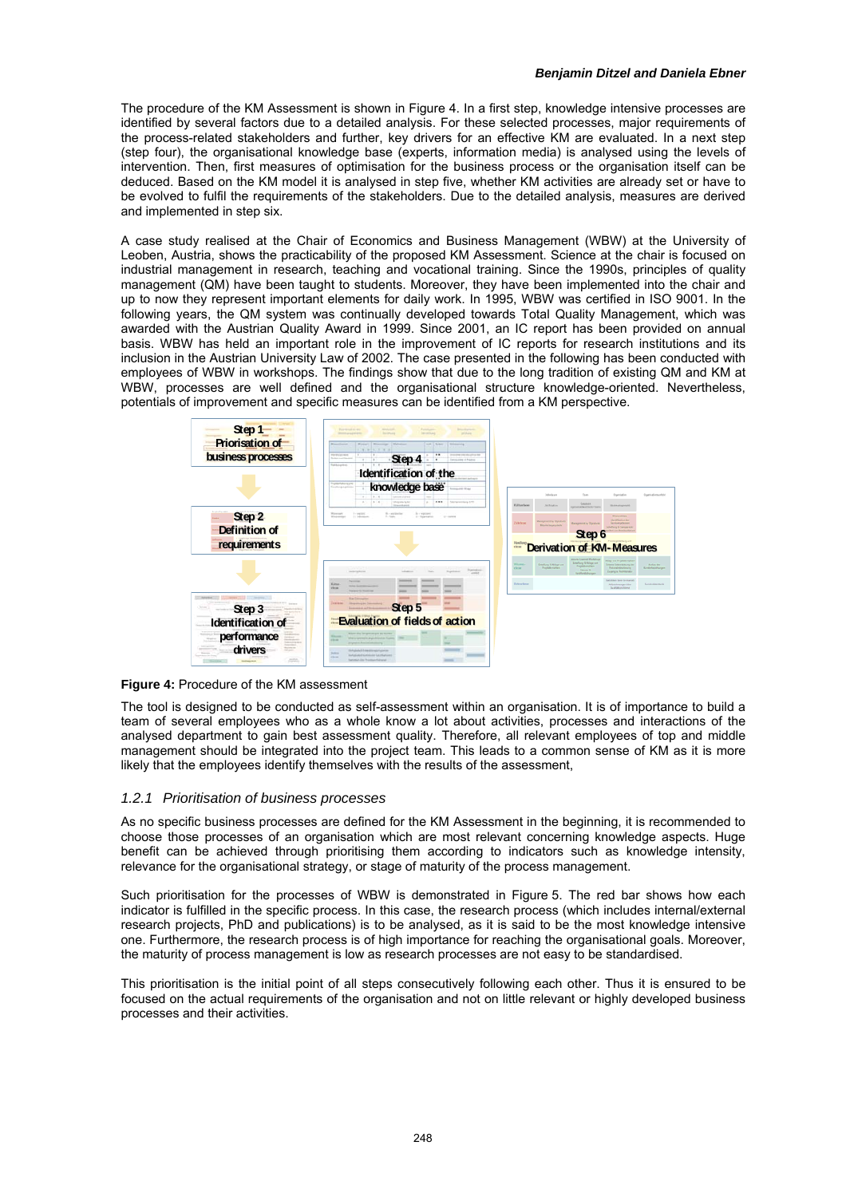The procedure of the KM Assessment is shown in Figure 4. In a first step, knowledge intensive processes are identified by several factors due to a detailed analysis. For these selected processes, major requirements of the process-related stakeholders and further, key drivers for an effective KM are evaluated. In a next step (step four), the organisational knowledge base (experts, information media) is analysed using the levels of intervention. Then, first measures of optimisation for the business process or the organisation itself can be deduced. Based on the KM model it is analysed in step five, whether KM activities are already set or have to be evolved to fulfil the requirements of the stakeholders. Due to the detailed analysis, measures are derived and implemented in step six.

A case study realised at the Chair of Economics and Business Management (WBW) at the University of Leoben, Austria, shows the practicability of the proposed KM Assessment. Science at the chair is focused on industrial management in research, teaching and vocational training. Since the 1990s, principles of quality management (QM) have been taught to students. Moreover, they have been implemented into the chair and up to now they represent important elements for daily work. In 1995, WBW was certified in ISO 9001. In the following years, the QM system was continually developed towards Total Quality Management, which was awarded with the Austrian Quality Award in 1999. Since 2001, an IC report has been provided on annual basis. WBW has held an important role in the improvement of IC reports for research institutions and its inclusion in the Austrian University Law of 2002. The case presented in the following has been conducted with employees of WBW in workshops. The findings show that due to the long tradition of existing QM and KM at WBW, processes are well defined and the organisational structure knowledge-oriented. Nevertheless, potentials of improvement and specific measures can be identified from a KM perspective.



**Figure 4:** Procedure of the KM assessment

The tool is designed to be conducted as self-assessment within an organisation. It is of importance to build a team of several employees who as a whole know a lot about activities, processes and interactions of the analysed department to gain best assessment quality. Therefore, all relevant employees of top and middle management should be integrated into the project team. This leads to a common sense of KM as it is more likely that the employees identify themselves with the results of the assessment,

#### *1.2.1 Prioritisation of business processes*

As no specific business processes are defined for the KM Assessment in the beginning, it is recommended to choose those processes of an organisation which are most relevant concerning knowledge aspects. Huge benefit can be achieved through prioritising them according to indicators such as knowledge intensity, relevance for the organisational strategy, or stage of maturity of the process management.

Such prioritisation for the processes of WBW is demonstrated in Figure 5. The red bar shows how each indicator is fulfilled in the specific process. In this case, the research process (which includes internal/external research projects, PhD and publications) is to be analysed, as it is said to be the most knowledge intensive one. Furthermore, the research process is of high importance for reaching the organisational goals. Moreover, the maturity of process management is low as research processes are not easy to be standardised.

This prioritisation is the initial point of all steps consecutively following each other. Thus it is ensured to be focused on the actual requirements of the organisation and not on little relevant or highly developed business processes and their activities.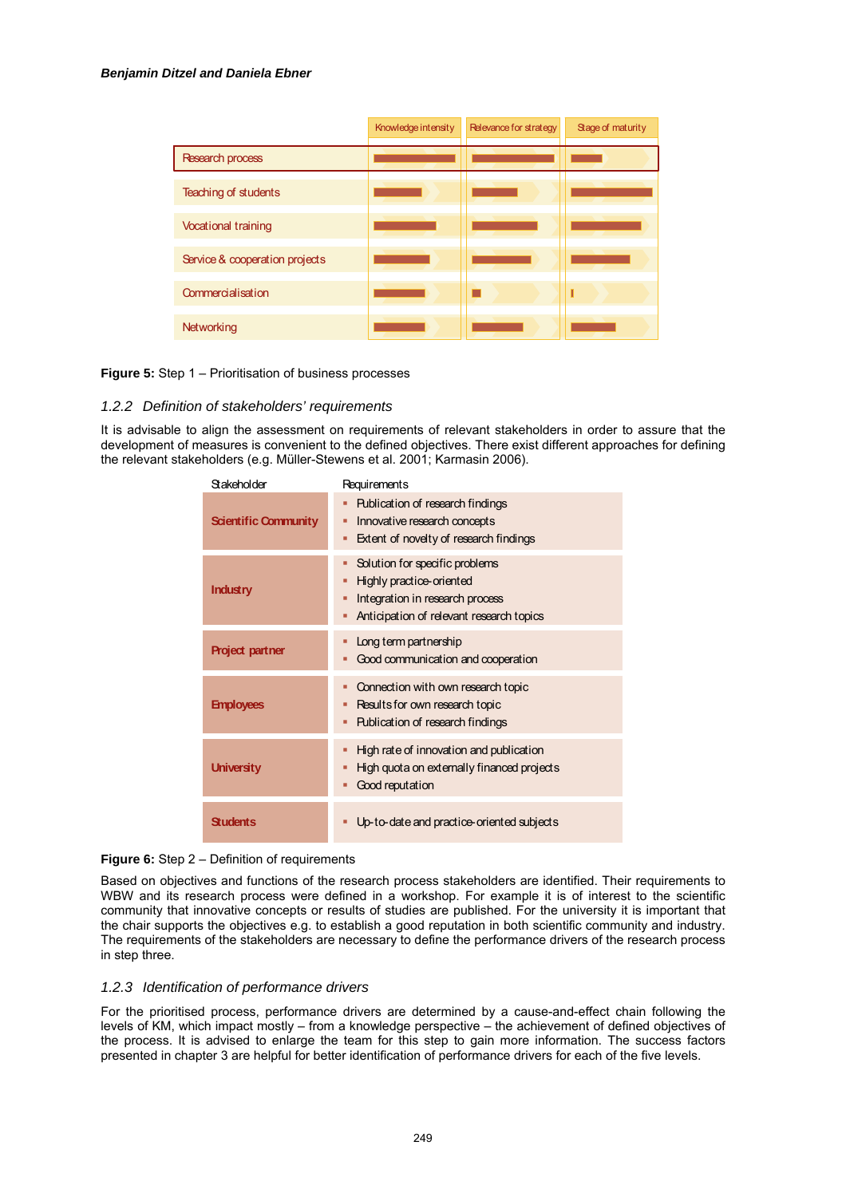|                                | Knowledge intensity | Relevance for strategy | Stage of maturity |
|--------------------------------|---------------------|------------------------|-------------------|
| Research process               |                     |                        |                   |
| Teaching of students           |                     |                        |                   |
| <b>Vocational training</b>     |                     |                        |                   |
| Service & cooperation projects |                     |                        |                   |
| Commercialisation              |                     |                        |                   |
| Networking                     |                     |                        |                   |

**Figure 5:** Step 1 – Prioritisation of business processes

#### *1.2.2 Definition of stakeholders' requirements*

It is advisable to align the assessment on requirements of relevant stakeholders in order to assure that the development of measures is convenient to the defined objectives. There exist different approaches for defining the relevant stakeholders (e.g. Müller-Stewens et al. 2001; Karmasin 2006).

| Stakeholder                 | Requirements                                                                                                                                        |
|-----------------------------|-----------------------------------------------------------------------------------------------------------------------------------------------------|
| <b>Scientific Community</b> | Publication of research findings<br>٠<br>Innovative research concepts<br>■<br>Extent of novelty of research findings<br>п                           |
| Industry                    | Solution for specific problems<br>■<br>Highly practice-oriented<br>Integration in research process<br>Anticipation of relevant research topics<br>п |
| <b>Project partner</b>      | Long term partnership<br>Good communication and cooperation                                                                                         |
| <b>Employees</b>            | Connection with own research topic<br>п<br>Results for own research topic<br>Publication of research findings<br>■                                  |
| <b>University</b>           | High rate of innovation and publication<br>■<br>High quota on externally financed projects<br>п<br>Good reputation<br>Ξ                             |
| <b>Students</b>             | Up-to-date and practice-oriented subjects                                                                                                           |

**Figure 6:** Step 2 – Definition of requirements

Based on objectives and functions of the research process stakeholders are identified. Their requirements to WBW and its research process were defined in a workshop. For example it is of interest to the scientific community that innovative concepts or results of studies are published. For the university it is important that the chair supports the objectives e.g. to establish a good reputation in both scientific community and industry. The requirements of the stakeholders are necessary to define the performance drivers of the research process in step three.

## *1.2.3 Identification of performance drivers*

For the prioritised process, performance drivers are determined by a cause-and-effect chain following the levels of KM, which impact mostly – from a knowledge perspective – the achievement of defined objectives of the process. It is advised to enlarge the team for this step to gain more information. The success factors presented in chapter 3 are helpful for better identification of performance drivers for each of the five levels.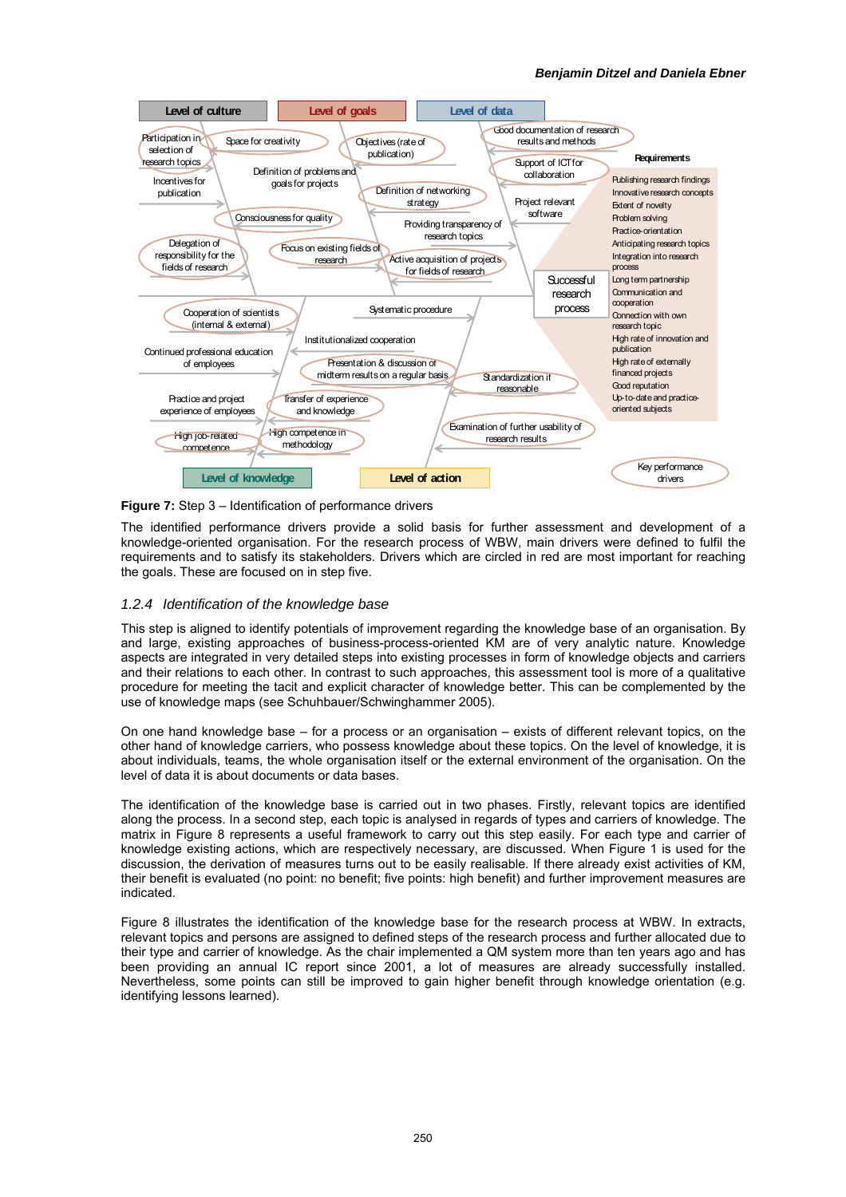

**Figure 7:** Step 3 – Identification of performance drivers

The identified performance drivers provide a solid basis for further assessment and development of a knowledge-oriented organisation. For the research process of WBW, main drivers were defined to fulfil the requirements and to satisfy its stakeholders. Drivers which are circled in red are most important for reaching the goals. These are focused on in step five.

## *1.2.4 Identification of the knowledge base*

This step is aligned to identify potentials of improvement regarding the knowledge base of an organisation. By and large, existing approaches of business-process-oriented KM are of very analytic nature. Knowledge aspects are integrated in very detailed steps into existing processes in form of knowledge objects and carriers and their relations to each other. In contrast to such approaches, this assessment tool is more of a qualitative procedure for meeting the tacit and explicit character of knowledge better. This can be complemented by the use of knowledge maps (see Schuhbauer/Schwinghammer 2005).

On one hand knowledge base – for a process or an organisation – exists of different relevant topics, on the other hand of knowledge carriers, who possess knowledge about these topics. On the level of knowledge, it is about individuals, teams, the whole organisation itself or the external environment of the organisation. On the level of data it is about documents or data bases.

The identification of the knowledge base is carried out in two phases. Firstly, relevant topics are identified along the process. In a second step, each topic is analysed in regards of types and carriers of knowledge. The matrix in [Figure 8](#page-7-0) represents a useful framework to carry out this step easily. For each type and carrier of knowledge existing actions, which are respectively necessary, are discussed. When Figure 1 is used for the discussion, the derivation of measures turns out to be easily realisable. If there already exist activities of KM, their benefit is evaluated (no point: no benefit; five points: high benefit) and further improvement measures are indicated.

Figure 8 illustrates the identification of the knowledge base for the research process at WBW. In extracts, relevant topics and persons are assigned to defined steps of the research process and further allocated due to their type and carrier of knowledge. As the chair implemented a QM system more than ten years ago and has been providing an annual IC report since 2001, a lot of measures are already successfully installed. Nevertheless, some points can still be improved to gain higher benefit through knowledge orientation (e.g. identifying lessons learned).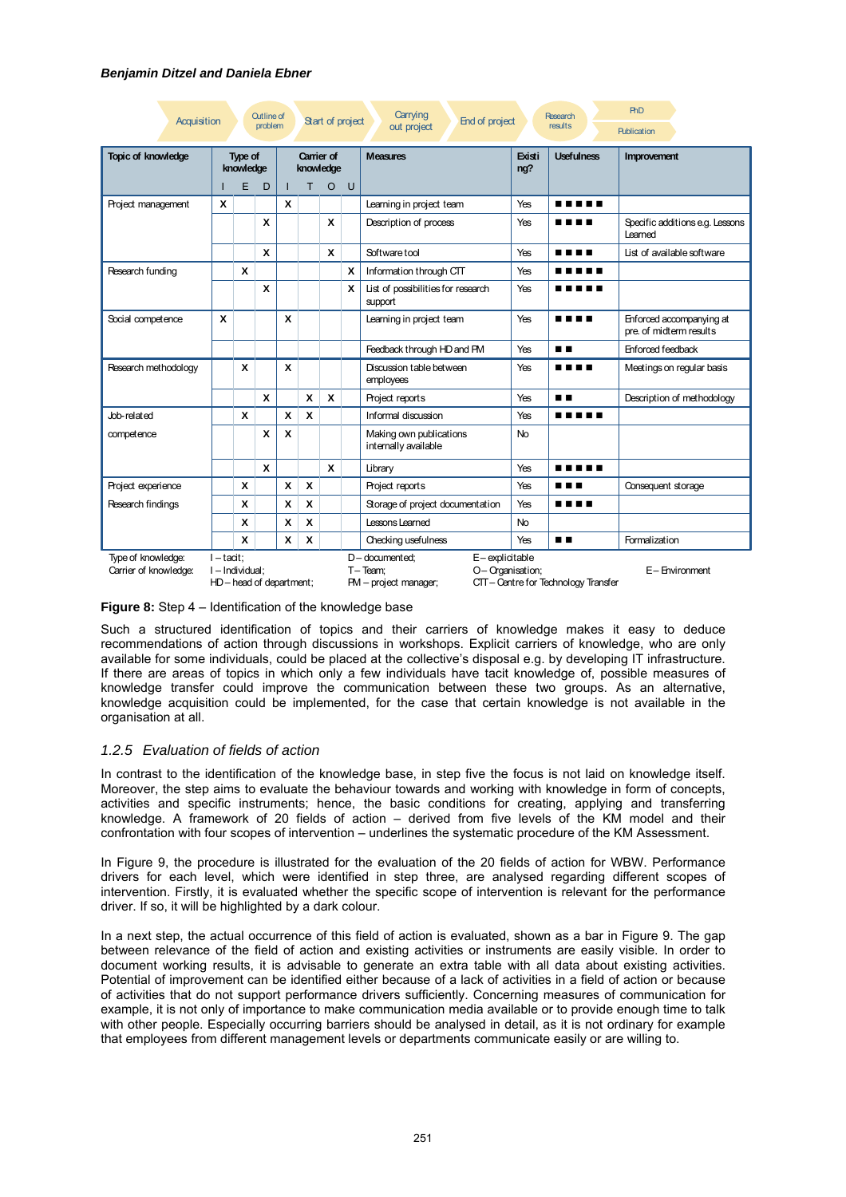| Acquisition                                                                                                                                                                                                                                                               |   |                      | <b>Outline of</b><br>problem |   |                         | Start of project |          | Carrying<br>End of project<br>out project       |               | <b>Research</b><br>results | <b>PhD</b><br><b>Publication</b>                    |
|---------------------------------------------------------------------------------------------------------------------------------------------------------------------------------------------------------------------------------------------------------------------------|---|----------------------|------------------------------|---|-------------------------|------------------|----------|-------------------------------------------------|---------------|----------------------------|-----------------------------------------------------|
| <b>Topic of knowledge</b>                                                                                                                                                                                                                                                 |   | Type of<br>knowledge |                              |   | Carrier of<br>knowledge |                  |          | <b>Measures</b>                                 | Existi<br>ng? | <b>Usefulness</b>          | Improvement                                         |
|                                                                                                                                                                                                                                                                           |   | E                    | D                            |   | т                       | $\circ$          | U        |                                                 |               |                            |                                                     |
| Project management                                                                                                                                                                                                                                                        | X |                      |                              | X |                         |                  |          | Learning in project team                        | Yes           | .                          |                                                     |
|                                                                                                                                                                                                                                                                           |   |                      | $\boldsymbol{x}$             |   |                         | X                |          | Description of process                          | Yes           | ----                       | Specific additions e.g. Lessons<br>Learned          |
|                                                                                                                                                                                                                                                                           |   |                      | X                            |   |                         | X                |          | Software tool                                   | Yes           | .                          | List of available software                          |
| Research funding                                                                                                                                                                                                                                                          |   | X                    |                              |   |                         |                  | <b>X</b> | Information through CTT                         | Yes           | .                          |                                                     |
|                                                                                                                                                                                                                                                                           |   |                      | X                            |   |                         |                  | X        | List of possibilities for research<br>support   | Yes           | .                          |                                                     |
| Social competence                                                                                                                                                                                                                                                         | X |                      |                              | X |                         |                  |          | Learning in project team                        | Yes           | .                          | Enforced accompanying at<br>pre. of midterm results |
|                                                                                                                                                                                                                                                                           |   |                      |                              |   |                         |                  |          | Feedback through HD and PM                      | Yes           | . .                        | <b>Enforced feedback</b>                            |
| Research methodology                                                                                                                                                                                                                                                      |   | X                    |                              | X |                         |                  |          | Discussion table between<br>employees           | Yes           | .                          | Meetings on regular basis                           |
|                                                                                                                                                                                                                                                                           |   |                      | X                            |   | X                       | X                |          | Project reports                                 | Yes           | . .                        | Description of methodology                          |
| Job-related                                                                                                                                                                                                                                                               |   | X                    |                              | X | X                       |                  |          | Informal discussion                             | Yes           | .                          |                                                     |
| competence                                                                                                                                                                                                                                                                |   |                      | X                            | X |                         |                  |          | Making own publications<br>internally available | <b>No</b>     |                            |                                                     |
|                                                                                                                                                                                                                                                                           |   |                      | X                            |   |                         | X                |          | Library                                         | Yes           |                            |                                                     |
| Project experience                                                                                                                                                                                                                                                        |   | X                    |                              | X | X                       |                  |          | Project reports                                 | Yes           | .                          | Consequent storage                                  |
| Research findings                                                                                                                                                                                                                                                         |   | X                    |                              | X | X                       |                  |          | Storage of project documentation                | Yes           | .                          |                                                     |
|                                                                                                                                                                                                                                                                           |   | X                    |                              | X | X                       |                  |          | Lessons Learned                                 | <b>No</b>     |                            |                                                     |
|                                                                                                                                                                                                                                                                           |   | X                    |                              | X | X                       |                  |          | Checking usefulness                             | Yes           | . .                        | Formalization                                       |
| Type of knowledge:<br>$I - \text{tact}$<br>$D$ – documented:<br>E-explicitable<br>Carrier of knowledge:<br>O- Organisation;<br>E- Environment<br>I - Individual:<br>$T - Team$<br>HD - head of department;<br>CTT-Centre for Technology Transfer<br>PM - project manager; |   |                      |                              |   |                         |                  |          |                                                 |               |                            |                                                     |

## **Figure 8:** Step 4 – Identification of the knowledge base

<span id="page-7-0"></span>Such a structured identification of topics and their carriers of knowledge makes it easy to deduce recommendations of action through discussions in workshops. Explicit carriers of knowledge, who are only available for some individuals, could be placed at the collective's disposal e.g. by developing IT infrastructure. If there are areas of topics in which only a few individuals have tacit knowledge of, possible measures of knowledge transfer could improve the communication between these two groups. As an alternative, knowledge acquisition could be implemented, for the case that certain knowledge is not available in the organisation at all.

## *1.2.5 Evaluation of fields of action*

In contrast to the identification of the knowledge base, in step five the focus is not laid on knowledge itself. Moreover, the step aims to evaluate the behaviour towards and working with knowledge in form of concepts, activities and specific instruments; hence, the basic conditions for creating, applying and transferring knowledge. A framework of 20 fields of action – derived from five levels of the KM model and their confrontation with four scopes of intervention – underlines the systematic procedure of the KM Assessment.

In Figure 9, the procedure is illustrated for the evaluation of the 20 fields of action for WBW. Performance drivers for each level, which were identified in step three, are analysed regarding different scopes of intervention. Firstly, it is evaluated whether the specific scope of intervention is relevant for the performance driver. If so, it will be highlighted by a dark colour.

In a next step, the actual occurrence of this field of action is evaluated, shown as a bar in Figure 9. The gap between relevance of the field of action and existing activities or instruments are easily visible. In order to document working results, it is advisable to generate an extra table with all data about existing activities. Potential of improvement can be identified either because of a lack of activities in a field of action or because of activities that do not support performance drivers sufficiently. Concerning measures of communication for example, it is not only of importance to make communication media available or to provide enough time to talk with other people. Especially occurring barriers should be analysed in detail, as it is not ordinary for example that employees from different management levels or departments communicate easily or are willing to.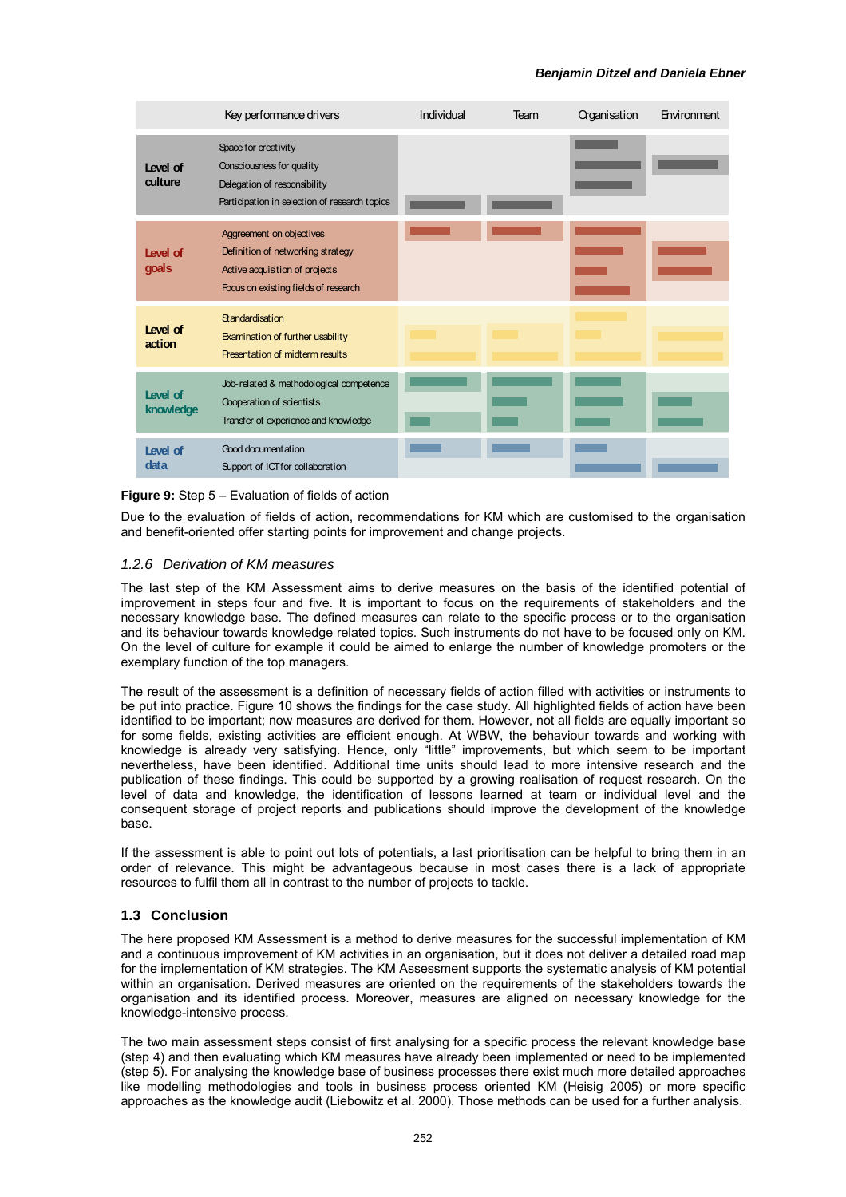|                       | Key performance drivers                                                                                                                 | Individual | Team | Organisation | Environment |
|-----------------------|-----------------------------------------------------------------------------------------------------------------------------------------|------------|------|--------------|-------------|
| Level of<br>culture   | Space for creativity<br>Consciousness for quality<br>Delegation of responsibility<br>Participation in selection of research topics      |            |      |              |             |
| Level of<br>goals     | Aggreement on objectives<br>Definition of networking strategy<br>Active acquisition of projects<br>Focus on existing fields of research |            |      |              |             |
| Level of<br>action    | Standardisation<br>Examination of further usability<br>Presentation of midterm results                                                  |            |      |              |             |
| Level of<br>knowledge | Job-related & methodological competence<br>Cooperation of scientists<br>Transfer of experience and knowledge                            |            |      |              |             |
| Level of<br>data      | Good document at ion<br>Support of ICT for collaboration                                                                                |            |      |              |             |

#### **Figure 9:** Step 5 – Evaluation of fields of action

Due to the evaluation of fields of action, recommendations for KM which are customised to the organisation and benefit-oriented offer starting points for improvement and change projects.

#### *1.2.6 Derivation of KM measures*

The last step of the KM Assessment aims to derive measures on the basis of the identified potential of improvement in steps four and five. It is important to focus on the requirements of stakeholders and the necessary knowledge base. The defined measures can relate to the specific process or to the organisation and its behaviour towards knowledge related topics. Such instruments do not have to be focused only on KM. On the level of culture for example it could be aimed to enlarge the number of knowledge promoters or the exemplary function of the top managers.

The result of the assessment is a definition of necessary fields of action filled with activities or instruments to be put into practice. Figure 10 shows the findings for the case study. All highlighted fields of action have been identified to be important; now measures are derived for them. However, not all fields are equally important so for some fields, existing activities are efficient enough. At WBW, the behaviour towards and working with knowledge is already very satisfying. Hence, only "little" improvements, but which seem to be important nevertheless, have been identified. Additional time units should lead to more intensive research and the publication of these findings. This could be supported by a growing realisation of request research. On the level of data and knowledge, the identification of lessons learned at team or individual level and the consequent storage of project reports and publications should improve the development of the knowledge base.

If the assessment is able to point out lots of potentials, a last prioritisation can be helpful to bring them in an order of relevance. This might be advantageous because in most cases there is a lack of appropriate resources to fulfil them all in contrast to the number of projects to tackle.

#### **1.3 Conclusion**

The here proposed KM Assessment is a method to derive measures for the successful implementation of KM and a continuous improvement of KM activities in an organisation, but it does not deliver a detailed road map for the implementation of KM strategies. The KM Assessment supports the systematic analysis of KM potential within an organisation. Derived measures are oriented on the requirements of the stakeholders towards the organisation and its identified process. Moreover, measures are aligned on necessary knowledge for the knowledge-intensive process.

The two main assessment steps consist of first analysing for a specific process the relevant knowledge base (step 4) and then evaluating which KM measures have already been implemented or need to be implemented (step 5). For analysing the knowledge base of business processes there exist much more detailed approaches like modelling methodologies and tools in business process oriented KM (Heisig 2005) or more specific approaches as the knowledge audit (Liebowitz et al. 2000). Those methods can be used for a further analysis.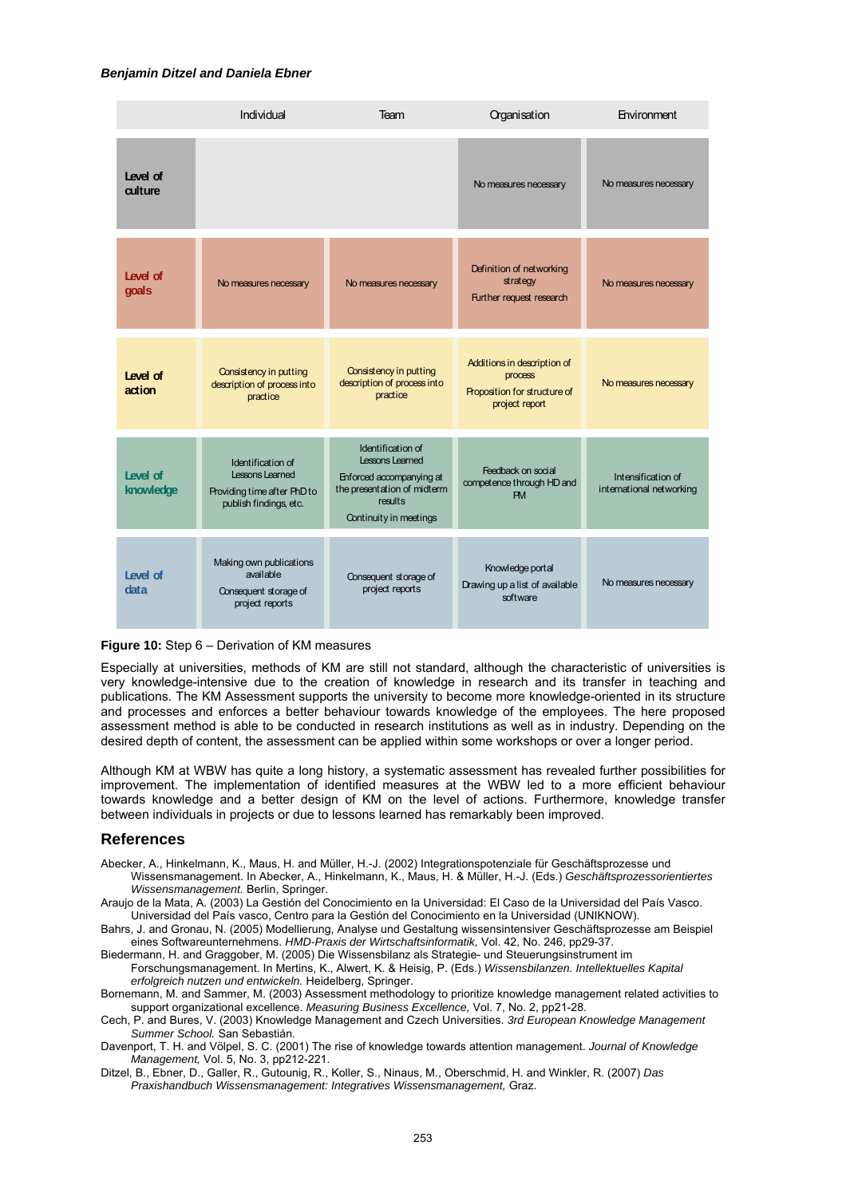|                       | Individual                                                                                    | Team                                                                                                                                        | Organisation                                                                             | Environment                                    |
|-----------------------|-----------------------------------------------------------------------------------------------|---------------------------------------------------------------------------------------------------------------------------------------------|------------------------------------------------------------------------------------------|------------------------------------------------|
| Level of<br>culture   |                                                                                               |                                                                                                                                             | No measures necessary                                                                    | No measures necessary                          |
| Level of<br>goals     | No measures necessary                                                                         | No measures necessary                                                                                                                       | Definition of networking<br>strategy<br>Further request research                         | No measures necessary                          |
| Level of<br>action    | Consistency in putting<br>description of process into<br>practice                             | Consistency in putting<br>description of process into<br>practice                                                                           | Additions in description of<br>process<br>Proposition for structure of<br>project report | No measures necessary                          |
| Level of<br>knowledge | Identification of<br>Lessons Learned<br>Providing time after PhD to<br>publish findings, etc. | Identification of<br><b>Lessons Learned</b><br>Enforced accompanying at<br>the presentation of midterm<br>results<br>Continuity in meetings | Feedback on social<br>competence through HD and<br>PM                                    | Intensification of<br>international networking |
| Level of<br>data      | Making own publications<br>available<br>Consequent storage of<br>project reports              | Consequent storage of<br>project reports                                                                                                    | Knowledge portal<br>Drawing up a list of available<br>software                           | No measures necessary                          |

#### **Figure 10:** Step 6 – Derivation of KM measures

Especially at universities, methods of KM are still not standard, although the characteristic of universities is very knowledge-intensive due to the creation of knowledge in research and its transfer in teaching and publications. The KM Assessment supports the university to become more knowledge-oriented in its structure and processes and enforces a better behaviour towards knowledge of the employees. The here proposed assessment method is able to be conducted in research institutions as well as in industry. Depending on the desired depth of content, the assessment can be applied within some workshops or over a longer period.

Although KM at WBW has quite a long history, a systematic assessment has revealed further possibilities for improvement. The implementation of identified measures at the WBW led to a more efficient behaviour towards knowledge and a better design of KM on the level of actions. Furthermore, knowledge transfer between individuals in projects or due to lessons learned has remarkably been improved.

#### **References**

- Abecker, A., Hinkelmann, K., Maus, H. and Müller, H.-J. (2002) Integrationspotenziale für Geschäftsprozesse und Wissensmanagement. In Abecker, A., Hinkelmann, K., Maus, H. & Müller, H.-J. (Eds.) *Geschäftsprozessorientiertes Wissensmanagement.* Berlin, Springer.
- Araujo de la Mata, A. (2003) La Gestión del Conocimiento en la Universidad: El Caso de la Universidad del País Vasco. Universidad del País vasco, Centro para la Gestión del Conocimiento en la Universidad (UNIKNOW).
- Bahrs, J. and Gronau, N. (2005) Modellierung, Analyse und Gestaltung wissensintensiver Geschäftsprozesse am Beispiel eines Softwareunternehmens. *HMD-Praxis der Wirtschaftsinformatik,* Vol. 42, No. 246, pp29-37.
- Biedermann, H. and Graggober, M. (2005) Die Wissensbilanz als Strategie- und Steuerungsinstrument im Forschungsmanagement. In Mertins, K., Alwert, K. & Heisig, P. (Eds.) *Wissensbilanzen. Intellektuelles Kapital erfolgreich nutzen und entwickeln.* Heidelberg, Springer.
- Bornemann, M. and Sammer, M. (2003) Assessment methodology to prioritize knowledge management related activities to support organizational excellence. *Measuring Business Excellence,* Vol. 7, No. 2, pp21-28.
- Cech, P. and Bures, V. (2003) Knowledge Management and Czech Universities. *3rd European Knowledge Management Summer School.* San Sebastián.
- Davenport, T. H. and Völpel, S. C. (2001) The rise of knowledge towards attention management. *Journal of Knowledge Management,* Vol. 5, No. 3, pp212-221.
- Ditzel, B., Ebner, D., Galler, R., Gutounig, R., Koller, S., Ninaus, M., Oberschmid, H. and Winkler, R. (2007) *Das Praxishandbuch Wissensmanagement: Integratives Wissensmanagement,* Graz.